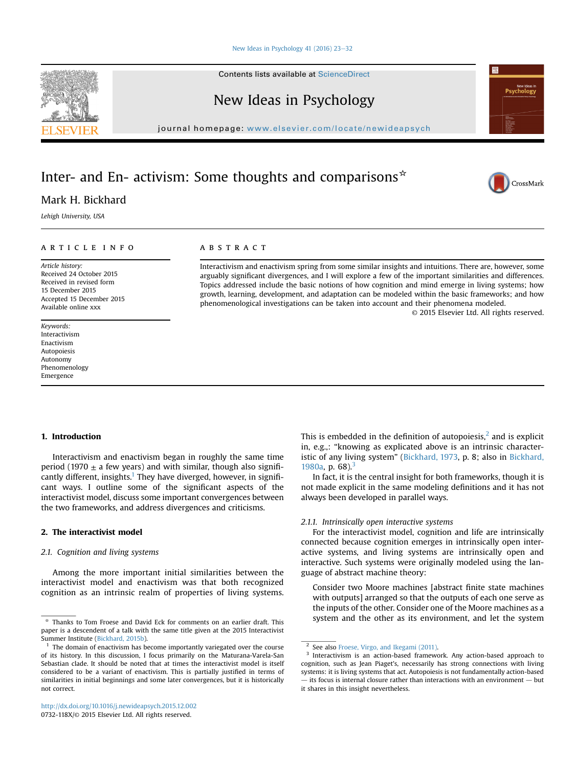#### [New Ideas in Psychology 41 \(2016\) 23](http://dx.doi.org/10.1016/j.newideapsych.2015.12.002)-[32](http://dx.doi.org/10.1016/j.newideapsych.2015.12.002)

Contents lists available at [ScienceDirect](www.sciencedirect.com/science/journal/0732118X)

# New Ideas in Psychology

journal homepage: <www.elsevier.com/locate/newideapsych>

# Inter- and En- activism: Some thoughts and comparisons $*$

# Mark H. Bickhard

Lehigh University, USA

#### article info

Article history: Received 24 October 2015 Received in revised form 15 December 2015 Accepted 15 December 2015 Available online xxx

Keywords: Interactivism Enactivism Autopoiesis Autonomy Phenomenology Emergence

### **ABSTRACT**

Interactivism and enactivism spring from some similar insights and intuitions. There are, however, some arguably significant divergences, and I will explore a few of the important similarities and differences. Topics addressed include the basic notions of how cognition and mind emerge in living systems; how growth, learning, development, and adaptation can be modeled within the basic frameworks; and how phenomenological investigations can be taken into account and their phenomena modeled.

© 2015 Elsevier Ltd. All rights reserved.

CrossMark

#### 1. Introduction

Interactivism and enactivism began in roughly the same time period (1970  $\pm$  a few years) and with similar, though also significantly different, insights.<sup>1</sup> They have diverged, however, in significant ways. I outline some of the significant aspects of the interactivist model, discuss some important convergences between the two frameworks, and address divergences and criticisms.

## 2. The interactivist model

#### 2.1. Cognition and living systems

Among the more important initial similarities between the interactivist model and enactivism was that both recognized cognition as an intrinsic realm of properties of living systems. This is embedded in the definition of autopoiesis, $<sup>2</sup>$  and is explicit</sup> in, e.g.,: "knowing as explicated above is an intrinsic characteristic of any living system" [\(Bickhard, 1973,](#page-8-0) p. 8; also in [Bickhard,](#page-8-0) [1980a](#page-8-0), p. 68).<sup>3</sup>

In fact, it is the central insight for both frameworks, though it is not made explicit in the same modeling definitions and it has not always been developed in parallel ways.

#### 2.1.1. Intrinsically open interactive systems

For the interactivist model, cognition and life are intrinsically connected because cognition emerges in intrinsically open interactive systems, and living systems are intrinsically open and interactive. Such systems were originally modeled using the language of abstract machine theory:

Consider two Moore machines [abstract finite state machines with outputs] arranged so that the outputs of each one serve as the inputs of the other. Consider one of the Moore machines as a  $\overline{\phantom{a}^*}$  Thanks to Tom Froese and David Eck for comments on an earlier draft. This system and the other as its environment, and let the system



paper is a descendent of a talk with the same title given at the 2015 Interactivist Summer Institute [\(Bickhard, 2015b](#page-9-0)).

 $1$  The domain of enactivism has become importantly variegated over the course of its history. In this discussion, I focus primarily on the Maturana-Varela-San Sebastian clade. It should be noted that at times the interactivist model is itself considered to be a variant of enactivism. This is partially justified in terms of similarities in initial beginnings and some later convergences, but it is historically not correct.

<sup>&</sup>lt;sup>2</sup> See also [Froese, Virgo, and Ikegami \(2011\)](#page-9-0).<br><sup>3</sup> Interactivism is an action based frameway

Interactivism is an action-based framework. Any action-based approach to cognition, such as Jean Piaget's, necessarily has strong connections with living systems: it is living systems that act. Autopoiesis is not fundamentally action-based  $-$  its focus is internal closure rather than interactions with an environment  $-$  but it shares in this insight nevertheless.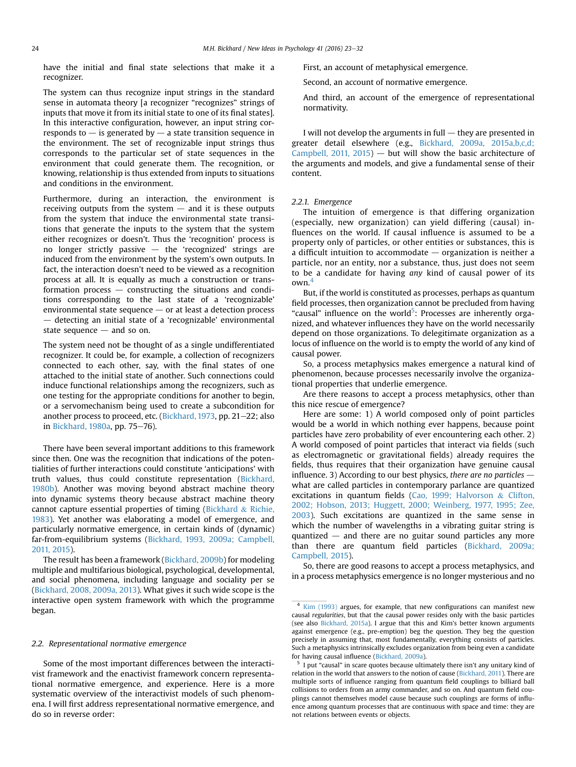have the initial and final state selections that make it a recognizer.

The system can thus recognize input strings in the standard sense in automata theory [a recognizer "recognizes" strings of inputs that move it from its initial state to one of its final states]. In this interactive configuration, however, an input string corresponds to  $-$  is generated by  $-$  a state transition sequence in the environment. The set of recognizable input strings thus corresponds to the particular set of state sequences in the environment that could generate them. The recognition, or knowing, relationship is thus extended from inputs to situations and conditions in the environment.

Furthermore, during an interaction, the environment is receiving outputs from the system  $-$  and it is these outputs from the system that induce the environmental state transitions that generate the inputs to the system that the system either recognizes or doesn't. Thus the 'recognition' process is no longer strictly passive  $-$  the 'recognized' strings are induced from the environment by the system's own outputs. In fact, the interaction doesn't need to be viewed as a recognition process at all. It is equally as much a construction or transformation process  $-$  constructing the situations and conditions corresponding to the last state of a 'recognizable' environmental state sequence  $-$  or at least a detection process - detecting an initial state of a 'recognizable' environmental state sequence  $-$  and so on.

The system need not be thought of as a single undifferentiated recognizer. It could be, for example, a collection of recognizers connected to each other, say, with the final states of one attached to the initial state of another. Such connections could induce functional relationships among the recognizers, such as one testing for the appropriate conditions for another to begin, or a servomechanism being used to create a subcondition for another process to proceed, etc. ([Bickhard, 1973](#page-8-0), pp. 21 $-22$ ; also in [Bickhard, 1980a](#page-8-0), pp. 75–76).

There have been several important additions to this framework since then. One was the recognition that indications of the potentialities of further interactions could constitute 'anticipations' with truth values, thus could constitute representation ([Bickhard,](#page-8-0) [1980b](#page-8-0)). Another was moving beyond abstract machine theory into dynamic systems theory because abstract machine theory cannot capture essential properties of timing [\(Bickhard](#page-9-0) & [Richie,](#page-9-0) [1983](#page-9-0)). Yet another was elaborating a model of emergence, and particularly normative emergence, in certain kinds of (dynamic) far-from-equilibrium systems [\(Bickhard, 1993, 2009a; Campbell,](#page-8-0) [2011, 2015\)](#page-8-0).

The result has been a framework [\(Bickhard, 2009b\)](#page-9-0) for modeling multiple and multifarious biological, psychological, developmental, and social phenomena, including language and sociality per se ([Bickhard, 2008, 2009a, 2013\)](#page-8-0). What gives it such wide scope is the interactive open system framework with which the programme began.

#### 2.2. Representational normative emergence

Some of the most important differences between the interactivist framework and the enactivist framework concern representational normative emergence, and experience. Here is a more systematic overview of the interactivist models of such phenomena. I will first address representational normative emergence, and do so in reverse order:

First, an account of metaphysical emergence.

Second, an account of normative emergence.

And third, an account of the emergence of representational normativity.

I will not develop the arguments in  $full$  – they are presented in greater detail elsewhere (e.g., [Bickhard, 2009a, 2015a,b,c,d;](#page-9-0) Campbell,  $2011$ ,  $2015$ )  $-$  but will show the basic architecture of the arguments and models, and give a fundamental sense of their content.

#### 2.2.1. Emergence

The intuition of emergence is that differing organization (especially, new organization) can yield differing (causal) influences on the world. If causal influence is assumed to be a property only of particles, or other entities or substances, this is a difficult intuition to accommodate  $-$  organization is neither a particle, nor an entity, nor a substance, thus, just does not seem to be a candidate for having any kind of causal power of its own.<sup>4</sup>

But, if the world is constituted as processes, perhaps as quantum field processes, then organization cannot be precluded from having "causal" influence on the world $5$ : Processes are inherently organized, and whatever influences they have on the world necessarily depend on those organizations. To delegitimate organization as a locus of influence on the world is to empty the world of any kind of causal power.

So, a process metaphysics makes emergence a natural kind of phenomenon, because processes necessarily involve the organizational properties that underlie emergence.

Are there reasons to accept a process metaphysics, other than this nice rescue of emergence?

Here are some: 1) A world composed only of point particles would be a world in which nothing ever happens, because point particles have zero probability of ever encountering each other. 2) A world composed of point particles that interact via fields (such as electromagnetic or gravitational fields) already requires the fields, thus requires that their organization have genuine causal influence. 3) According to our best physics, there are no particles  $$ what are called particles in contemporary parlance are quantized excitations in quantum fields [\(Cao, 1999; Halvorson](#page-9-0) & [Clifton,](#page-9-0) [2002; Hobson, 2013; Huggett, 2000; Weinberg, 1977, 1995; Zee,](#page-9-0) [2003](#page-9-0)). Such excitations are quantized in the same sense in which the number of wavelengths in a vibrating guitar string is quantized  $-$  and there are no guitar sound particles any more than there are quantum field particles ([Bickhard, 2009a;](#page-9-0) [Campbell, 2015\)](#page-9-0).

So, there are good reasons to accept a process metaphysics, and in a process metaphysics emergence is no longer mysterious and no

<sup>4</sup> [Kim \(1993\)](#page-9-0) argues, for example, that new configurations can manifest new causal regularities, but that the causal power resides only with the basic particles (see also [Bickhard, 2015a\)](#page-9-0). I argue that this and Kim's better known arguments against emergence (e.g., pre-emption) beg the question. They beg the question precisely in assuming that, most fundamentally, everything consists of particles. Such a metaphysics intrinsically excludes organization from being even a candidate for having causal influence ([Bickhard, 2009a\)](#page-9-0).

<sup>5</sup> I put "causal" in scare quotes because ultimately there isn't any unitary kind of relation in the world that answers to the notion of cause ([Bickhard, 2011\)](#page-9-0). There are multiple sorts of influence ranging from quantum field couplings to billiard ball collisions to orders from an army commander, and so on. And quantum field couplings cannot themselves model cause because such couplings are forms of influence among quantum processes that are continuous with space and time: they are not relations between events or objects.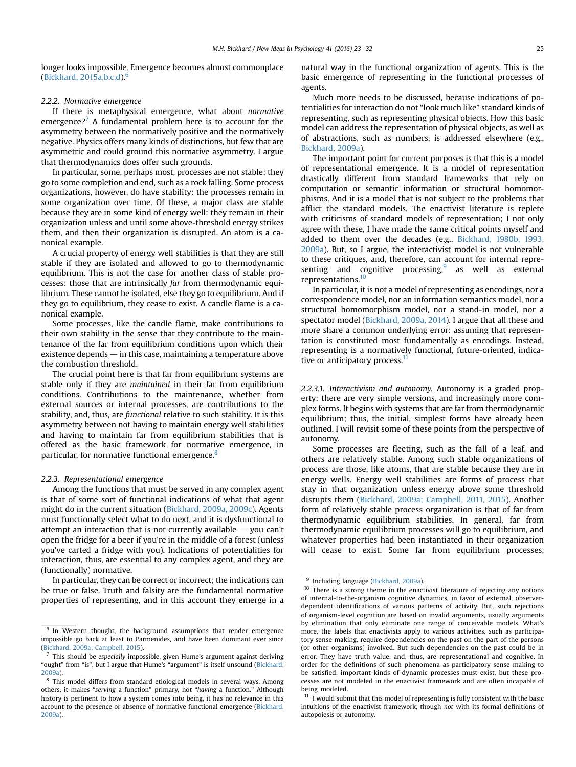longer looks impossible. Emergence becomes almost commonplace (Bickhard, 2015a, b, c, d). $6$ 

#### 2.2.2. Normative emergence

If there is metaphysical emergence, what about normative emergence?<sup>7</sup> A fundamental problem here is to account for the asymmetry between the normatively positive and the normatively negative. Physics offers many kinds of distinctions, but few that are asymmetric and could ground this normative asymmetry. I argue that thermodynamics does offer such grounds.

In particular, some, perhaps most, processes are not stable: they go to some completion and end, such as a rock falling. Some process organizations, however, do have stability: the processes remain in some organization over time. Of these, a major class are stable because they are in some kind of energy well: they remain in their organization unless and until some above-threshold energy strikes them, and then their organization is disrupted. An atom is a canonical example.

A crucial property of energy well stabilities is that they are still stable if they are isolated and allowed to go to thermodynamic equilibrium. This is not the case for another class of stable processes: those that are intrinsically far from thermodynamic equilibrium. These cannot be isolated, else they go to equilibrium. And if they go to equilibrium, they cease to exist. A candle flame is a canonical example.

Some processes, like the candle flame, make contributions to their own stability in the sense that they contribute to the maintenance of the far from equilibrium conditions upon which their existence depends  $-$  in this case, maintaining a temperature above the combustion threshold.

The crucial point here is that far from equilibrium systems are stable only if they are maintained in their far from equilibrium conditions. Contributions to the maintenance, whether from external sources or internal processes, are contributions to the stability, and, thus, are functional relative to such stability. It is this asymmetry between not having to maintain energy well stabilities and having to maintain far from equilibrium stabilities that is offered as the basic framework for normative emergence, in particular, for normative functional emergence.<sup>8</sup>

#### 2.2.3. Representational emergence

Among the functions that must be served in any complex agent is that of some sort of functional indications of what that agent might do in the current situation [\(Bickhard, 2009a, 2009c\)](#page-9-0). Agents must functionally select what to do next, and it is dysfunctional to attempt an interaction that is not currently available  $-$  you can't open the fridge for a beer if you're in the middle of a forest (unless you've carted a fridge with you). Indications of potentialities for interaction, thus, are essential to any complex agent, and they are (functionally) normative.

In particular, they can be correct or incorrect; the indications can be true or false. Truth and falsity are the fundamental normative properties of representing, and in this account they emerge in a natural way in the functional organization of agents. This is the basic emergence of representing in the functional processes of agents.

Much more needs to be discussed, because indications of potentialities for interaction do not "look much like" standard kinds of representing, such as representing physical objects. How this basic model can address the representation of physical objects, as well as of abstractions, such as numbers, is addressed elsewhere (e.g., [Bickhard, 2009a](#page-9-0)).

The important point for current purposes is that this is a model of representational emergence. It is a model of representation drastically different from standard frameworks that rely on computation or semantic information or structural homomorphisms. And it is a model that is not subject to the problems that afflict the standard models. The enactivist literature is replete with criticisms of standard models of representation; I not only agree with these, I have made the same critical points myself and added to them over the decades (e.g., [Bickhard, 1980b, 1993,](#page-8-0) [2009a\)](#page-8-0). But, so I argue, the interactivist model is not vulnerable to these critiques, and, therefore, can account for internal representing and cognitive processing, $9$  as well as external representations.<sup>10</sup>

In particular, it is not a model of representing as encodings, nor a correspondence model, nor an information semantics model, nor a structural homomorphism model, nor a stand-in model, nor a spectator model ([Bickhard, 2009a, 2014](#page-9-0)). I argue that all these and more share a common underlying error: assuming that representation is constituted most fundamentally as encodings. Instead, representing is a normatively functional, future-oriented, indicative or anticipatory process.<sup>11</sup>

2.2.3.1. Interactivism and autonomy. Autonomy is a graded property: there are very simple versions, and increasingly more complex forms. It begins with systems that are far from thermodynamic equilibrium; thus, the initial, simplest forms have already been outlined. I will revisit some of these points from the perspective of autonomy.

Some processes are fleeting, such as the fall of a leaf, and others are relatively stable. Among such stable organizations of process are those, like atoms, that are stable because they are in energy wells. Energy well stabilities are forms of process that stay in that organization unless energy above some threshold disrupts them [\(Bickhard, 2009a; Campbell, 2011, 2015](#page-9-0)). Another form of relatively stable process organization is that of far from thermodynamic equilibrium stabilities. In general, far from thermodynamic equilibrium processes will go to equilibrium, and whatever properties had been instantiated in their organization will cease to exist. Some far from equilibrium processes,

 $6$  In Western thought, the background assumptions that render emergence impossible go back at least to Parmenides, and have been dominant ever since ([Bickhard, 2009a; Campbell, 2015](#page-9-0)).

 $7$  This should be especially impossible, given Hume's argument against deriving "ought" from "is", but I argue that Hume's "argument" is itself unsound ([Bickhard,](#page-9-0) [2009a](#page-9-0)).

<sup>&</sup>lt;sup>8</sup> This model differs from standard etiological models in several ways. Among others, it makes "serving a function" primary, not "having a function." Although history is pertinent to how a system comes into being, it has no relevance in this account to the presence or absence of normative functional emergence ([Bickhard,](#page-9-0) [2009a](#page-9-0)).

<sup>9</sup> Including language ([Bickhard, 2009a\)](#page-9-0).

<sup>&</sup>lt;sup>10</sup> There is a strong theme in the enactivist literature of rejecting any notions of internal-to-the-organism cognitive dynamics, in favor of external, observerdependent identifications of various patterns of activity. But, such rejections of organism-level cognition are based on invalid arguments, usually arguments by elimination that only eliminate one range of conceivable models. What's more, the labels that enactivists apply to various activities, such as participatory sense making, require dependencies on the past on the part of the persons (or other organisms) involved. But such dependencies on the past could be in error. They have truth value, and, thus, are representational and cognitive. In order for the definitions of such phenomena as participatory sense making to be satisfied, important kinds of dynamic processes must exist, but these processes are not modeled in the enactivist framework and are often incapable of being modeled.

 $11$  I would submit that this model of representing is fully consistent with the basic intuitions of the enactivist framework, though not with its formal definitions of autopoiesis or autonomy.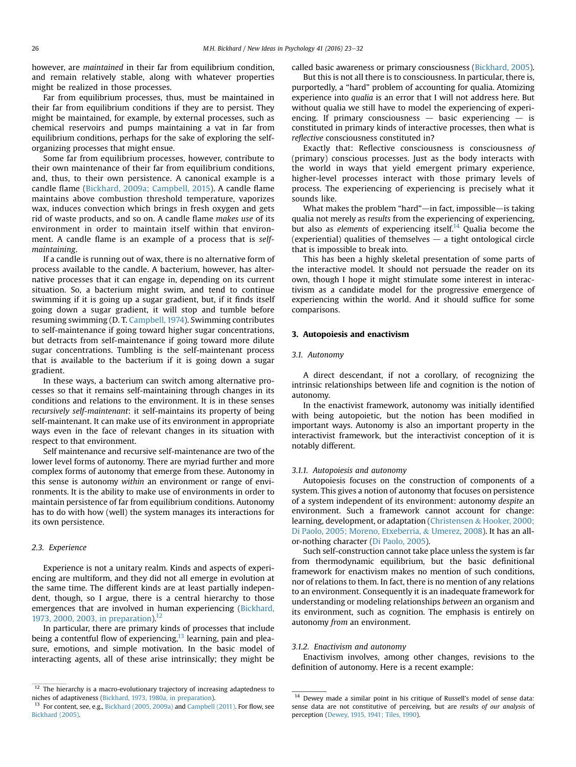however, are maintained in their far from equilibrium condition, and remain relatively stable, along with whatever properties might be realized in those processes.

Far from equilibrium processes, thus, must be maintained in their far from equilibrium conditions if they are to persist. They might be maintained, for example, by external processes, such as chemical reservoirs and pumps maintaining a vat in far from equilibrium conditions, perhaps for the sake of exploring the selforganizing processes that might ensue.

Some far from equilibrium processes, however, contribute to their own maintenance of their far from equilibrium conditions, and, thus, to their own persistence. A canonical example is a candle flame ([Bickhard, 2009a; Campbell, 2015\)](#page-9-0). A candle flame maintains above combustion threshold temperature, vaporizes wax, induces convection which brings in fresh oxygen and gets rid of waste products, and so on. A candle flame makes use of its environment in order to maintain itself within that environment. A candle flame is an example of a process that is selfmaintaining.

If a candle is running out of wax, there is no alternative form of process available to the candle. A bacterium, however, has alternative processes that it can engage in, depending on its current situation. So, a bacterium might swim, and tend to continue swimming if it is going up a sugar gradient, but, if it finds itself going down a sugar gradient, it will stop and tumble before resuming swimming (D. T. [Campbell, 1974\)](#page-9-0). Swimming contributes to self-maintenance if going toward higher sugar concentrations, but detracts from self-maintenance if going toward more dilute sugar concentrations. Tumbling is the self-maintenant process that is available to the bacterium if it is going down a sugar gradient.

In these ways, a bacterium can switch among alternative processes so that it remains self-maintaining through changes in its conditions and relations to the environment. It is in these senses recursively self-maintenant: it self-maintains its property of being self-maintenant. It can make use of its environment in appropriate ways even in the face of relevant changes in its situation with respect to that environment.

Self maintenance and recursive self-maintenance are two of the lower level forms of autonomy. There are myriad further and more complex forms of autonomy that emerge from these. Autonomy in this sense is autonomy within an environment or range of environments. It is the ability to make use of environments in order to maintain persistence of far from equilibrium conditions. Autonomy has to do with how (well) the system manages its interactions for its own persistence.

#### 2.3. Experience

Experience is not a unitary realm. Kinds and aspects of experiencing are multiform, and they did not all emerge in evolution at the same time. The different kinds are at least partially independent, though, so I argue, there is a central hierarchy to those emergences that are involved in human experiencing ([Bickhard,](#page-8-0) [1973, 2000, 2003, in preparation\)](#page-8-0).12

In particular, there are primary kinds of processes that include being a contentful flow of experiencing,<sup>13</sup> learning, pain and pleasure, emotions, and simple motivation. In the basic model of interacting agents, all of these arise intrinsically; they might be called basic awareness or primary consciousness [\(Bickhard, 2005\)](#page-8-0).

But this is not all there is to consciousness. In particular, there is, purportedly, a "hard" problem of accounting for qualia. Atomizing experience into qualia is an error that I will not address here. But without qualia we still have to model the experiencing of experiencing. If primary consciousness  $-$  basic experiencing  $-$  is constituted in primary kinds of interactive processes, then what is reflective consciousness constituted in?

Exactly that: Reflective consciousness is consciousness of (primary) conscious processes. Just as the body interacts with the world in ways that yield emergent primary experience, higher-level processes interact with those primary levels of process. The experiencing of experiencing is precisely what it sounds like.

What makes the problem "hard"—in fact, impossible—is taking qualia not merely as results from the experiencing of experiencing, but also as elements of experiencing itself.<sup>14</sup> Qualia become the (experiential) qualities of themselves  $-$  a tight ontological circle that is impossible to break into.

This has been a highly skeletal presentation of some parts of the interactive model. It should not persuade the reader on its own, though I hope it might stimulate some interest in interactivism as a candidate model for the progressive emergence of experiencing within the world. And it should suffice for some comparisons.

#### 3. Autopoiesis and enactivism

#### 3.1. Autonomy

A direct descendant, if not a corollary, of recognizing the intrinsic relationships between life and cognition is the notion of autonomy.

In the enactivist framework, autonomy was initially identified with being autopoietic, but the notion has been modified in important ways. Autonomy is also an important property in the interactivist framework, but the interactivist conception of it is notably different.

#### 3.1.1. Autopoiesis and autonomy

Autopoiesis focuses on the construction of components of a system. This gives a notion of autonomy that focuses on persistence of a system independent of its environment: autonomy despite an environment. Such a framework cannot account for change: learning, development, or adaptation [\(Christensen](#page-9-0) & [Hooker, 2000;](#page-9-0) [Di Paolo, 2005; Moreno, Etxeberria,](#page-9-0) & [Umerez, 2008](#page-9-0)). It has an allor-nothing character [\(Di Paolo, 2005](#page-9-0)).

Such self-construction cannot take place unless the system is far from thermodynamic equilibrium, but the basic definitional framework for enactivism makes no mention of such conditions, nor of relations to them. In fact, there is no mention of any relations to an environment. Consequently it is an inadequate framework for understanding or modeling relationships between an organism and its environment, such as cognition. The emphasis is entirely on autonomy from an environment.

#### 3.1.2. Enactivism and autonomy

Enactivism involves, among other changes, revisions to the definition of autonomy. Here is a recent example:

 $12$  The hierarchy is a macro-evolutionary trajectory of increasing adaptedness to niches of adaptiveness [\(Bickhard, 1973, 1980a, in preparation](#page-8-0)).

<sup>&</sup>lt;sup>13</sup> For content, see, e.g., [Bickhard \(2005, 2009a\)](#page-8-0) and [Campbell \(2011\)](#page-9-0). For flow, see [Bickhard \(2005\).](#page-8-0)

<sup>&</sup>lt;sup>14</sup> Dewey made a similar point in his critique of Russell's model of sense data: sense data are not constitutive of perceiving, but are results of our analysis of perception ([Dewey, 1915, 1941; Tiles, 1990\)](#page-9-0).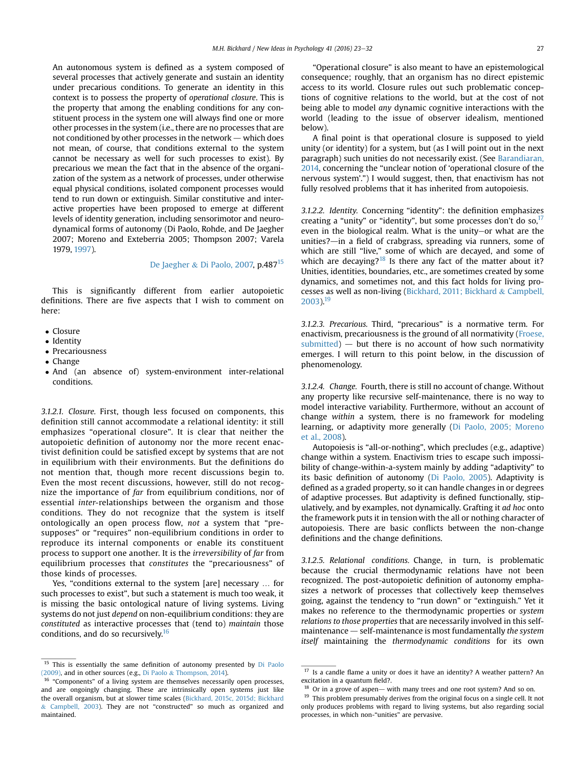An autonomous system is defined as a system composed of several processes that actively generate and sustain an identity under precarious conditions. To generate an identity in this context is to possess the property of operational closure. This is the property that among the enabling conditions for any constituent process in the system one will always find one or more other processes in the system (i.e., there are no processes that are not conditioned by other processes in the network  $-$  which does not mean, of course, that conditions external to the system cannot be necessary as well for such processes to exist). By precarious we mean the fact that in the absence of the organization of the system as a network of processes, under otherwise equal physical conditions, isolated component processes would tend to run down or extinguish. Similar constitutive and interactive properties have been proposed to emerge at different levels of identity generation, including sensorimotor and neurodynamical forms of autonomy (Di Paolo, Rohde, and De Jaegher 2007; Moreno and Exteberria 2005; Thompson 2007; Varela 1979, [1997](#page-9-0)).

# [De Jaegher](#page-9-0) & [Di Paolo, 2007,](#page-9-0) p.48715

This is significantly different from earlier autopoietic definitions. There are five aspects that I wish to comment on here:

- Closure
- Identity
- Precariousness
- Change
- And (an absence of) system-environment inter-relational conditions.

3.1.2.1. Closure. First, though less focused on components, this definition still cannot accommodate a relational identity: it still emphasizes "operational closure". It is clear that neither the autopoietic definition of autonomy nor the more recent enactivist definition could be satisfied except by systems that are not in equilibrium with their environments. But the definitions do not mention that, though more recent discussions begin to. Even the most recent discussions, however, still do not recognize the importance of far from equilibrium conditions, nor of essential inter-relationships between the organism and those conditions. They do not recognize that the system is itself ontologically an open process flow, not a system that "presupposes" or "requires" non-equilibrium conditions in order to reproduce its internal components or enable its constituent process to support one another. It is the irreversibility of far from equilibrium processes that constitutes the "precariousness" of those kinds of processes.

Yes, "conditions external to the system [are] necessary … for such processes to exist", but such a statement is much too weak, it is missing the basic ontological nature of living systems. Living systems do not just depend on non-equilibrium conditions: they are constituted as interactive processes that (tend to) maintain those conditions, and do so recursively.<sup>16</sup>

"Operational closure" is also meant to have an epistemological consequence; roughly, that an organism has no direct epistemic access to its world. Closure rules out such problematic conceptions of cognitive relations to the world, but at the cost of not being able to model any dynamic cognitive interactions with the world (leading to the issue of observer idealism, mentioned below).

A final point is that operational closure is supposed to yield unity (or identity) for a system, but (as I will point out in the next paragraph) such unities do not necessarily exist. (See [Barandiaran,](#page-8-0) [2014,](#page-8-0) concerning the "unclear notion of 'operational closure of the nervous system'.") I would suggest, then, that enactivism has not fully resolved problems that it has inherited from autopoiesis.

3.1.2.2. Identity. Concerning "identity": the definition emphasizes creating a "unity" or "identity", but some processes don't do so, $<sup>17</sup>$ </sup> even in the biological realm. What is the unity-or what are the unities?-in a field of crabgrass, spreading via runners, some of which are still "live," some of which are decayed, and some of which are decaying? $18$  Is there any fact of the matter about it? Unities, identities, boundaries, etc., are sometimes created by some dynamics, and sometimes not, and this fact holds for living processes as well as non-living ([Bickhard, 2011; Bickhard](#page-9-0) & [Campbell,](#page-9-0)  $2003$ ).<sup>19</sup>

3.1.2.3. Precarious. Third, "precarious" is a normative term. For enactivism, precariousness is the ground of all normativity ([Froese,](#page-9-0) [submitted\)](#page-9-0)  $-$  but there is no account of how such normativity emerges. I will return to this point below, in the discussion of phenomenology.

3.1.2.4. Change. Fourth, there is still no account of change. Without any property like recursive self-maintenance, there is no way to model interactive variability. Furthermore, without an account of change within a system, there is no framework for modeling learning, or adaptivity more generally [\(Di Paolo, 2005; Moreno](#page-9-0) [et al., 2008](#page-9-0)).

Autopoiesis is "all-or-nothing", which precludes (e.g., adaptive) change within a system. Enactivism tries to escape such impossibility of change-within-a-system mainly by adding "adaptivity" to its basic definition of autonomy ([Di Paolo, 2005](#page-9-0)). Adaptivity is defined as a graded property, so it can handle changes in or degrees of adaptive processes. But adaptivity is defined functionally, stipulatively, and by examples, not dynamically. Grafting it ad hoc onto the framework puts it in tension with the all or nothing character of autopoiesis. There are basic conflicts between the non-change definitions and the change definitions.

3.1.2.5. Relational conditions. Change, in turn, is problematic because the crucial thermodynamic relations have not been recognized. The post-autopoietic definition of autonomy emphasizes a network of processes that collectively keep themselves going, against the tendency to "run down" or "extinguish." Yet it makes no reference to the thermodynamic properties or system relations to those properties that are necessarily involved in this selfmaintenance  $-$  self-maintenance is most fundamentally the system itself maintaining the thermodynamic conditions for its own

 $\overline{15}$  This is essentially the same definition of autonomy presented by [Di Paolo](#page-9-0) [\(2009\),](#page-9-0) and in other sources (e.g., [Di Paolo](#page-9-0) & [Thompson, 2014](#page-9-0)).

<sup>&</sup>lt;sup>16</sup> "Components" of a living system are themselves necessarily open processes, and are ongoingly changing. These are intrinsically open systems just like the overall organism, but at slower time scales ([Bickhard, 2015c, 2015d; Bickhard](#page-9-0) & [Campbell, 2003](#page-9-0)). They are not "constructed" so much as organized and maintained.

<sup>&</sup>lt;sup>17</sup> Is a candle flame a unity or does it have an identity? A weather pattern? An excitation in a quantum field?.

Or in a grove of aspen- with many trees and one root system? And so on.

 $19$  This problem presumably derives from the original focus on a single cell. It not only produces problems with regard to living systems, but also regarding social processes, in which non-"unities" are pervasive.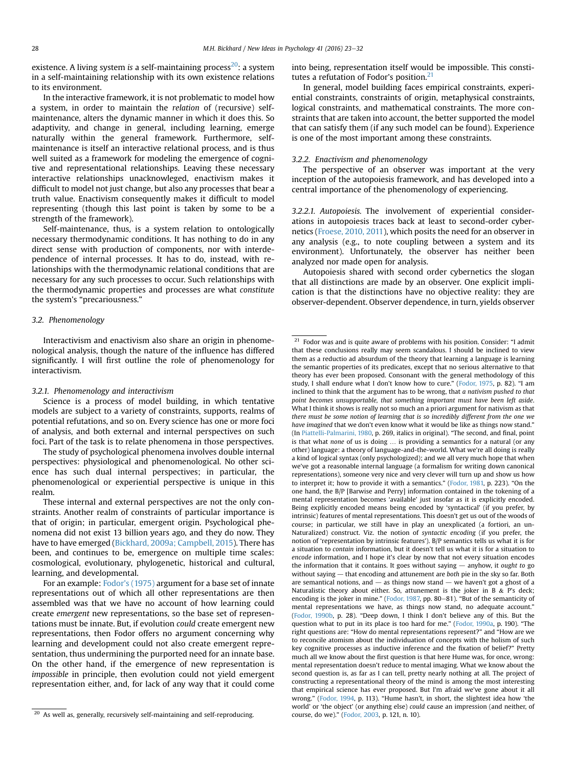existence. A living system is a self-maintaining process<sup>20</sup>: a system in a self-maintaining relationship with its own existence relations to its environment.

In the interactive framework, it is not problematic to model how a system, in order to maintain the relation of (recursive) selfmaintenance, alters the dynamic manner in which it does this. So adaptivity, and change in general, including learning, emerge naturally within the general framework. Furthermore, selfmaintenance is itself an interactive relational process, and is thus well suited as a framework for modeling the emergence of cognitive and representational relationships. Leaving these necessary interactive relationships unacknowleged, enactivism makes it difficult to model not just change, but also any processes that bear a truth value. Enactivism consequently makes it difficult to model representing (though this last point is taken by some to be a strength of the framework).

Self-maintenance, thus, is a system relation to ontologically necessary thermodynamic conditions. It has nothing to do in any direct sense with production of components, nor with interdependence of internal processes. It has to do, instead, with relationships with the thermodynamic relational conditions that are necessary for any such processes to occur. Such relationships with the thermodynamic properties and processes are what constitute the system's "precariousness."

#### 3.2. Phenomenology

Interactivism and enactivism also share an origin in phenomenological analysis, though the nature of the influence has differed significantly. I will first outline the role of phenomenology for interactivism.

#### 3.2.1. Phenomenology and interactivism

Science is a process of model building, in which tentative models are subject to a variety of constraints, supports, realms of potential refutations, and so on. Every science has one or more foci of analysis, and both external and internal perspectives on such foci. Part of the task is to relate phenomena in those perspectives.

The study of psychological phenomena involves double internal perspectives: physiological and phenomenological. No other science has such dual internal perspectives; in particular, the phenomenological or experiential perspective is unique in this realm.

These internal and external perspectives are not the only constraints. Another realm of constraints of particular importance is that of origin; in particular, emergent origin. Psychological phenomena did not exist 13 billion years ago, and they do now. They have to have emerged [\(Bickhard, 2009a; Campbell, 2015](#page-9-0)). There has been, and continues to be, emergence on multiple time scales: cosmological, evolutionary, phylogenetic, historical and cultural, learning, and developmental.

For an example: [Fodor's \(1975\)](#page-9-0) argument for a base set of innate representations out of which all other representations are then assembled was that we have no account of how learning could create emergent new representations, so the base set of representations must be innate. But, if evolution could create emergent new representations, then Fodor offers no argument concerning why learning and development could not also create emergent representation, thus undermining the purported need for an innate base. On the other hand, if the emergence of new representation is impossible in principle, then evolution could not yield emergent representation either, and, for lack of any way that it could come into being, representation itself would be impossible. This constitutes a refutation of Fodor's position. $21$ 

In general, model building faces empirical constraints, experiential constraints, constraints of origin, metaphysical constraints, logical constraints, and mathematical constraints. The more constraints that are taken into account, the better supported the model that can satisfy them (if any such model can be found). Experience is one of the most important among these constraints.

### 3.2.2. Enactivism and phenomenology

The perspective of an observer was important at the very inception of the autopoiesis framework, and has developed into a central importance of the phenomenology of experiencing.

3.2.2.1. Autopoiesis. The involvement of experiential considerations in autopoiesis traces back at least to second-order cybernetics ([Froese, 2010, 2011\)](#page-9-0), which posits the need for an observer in any analysis (e.g., to note coupling between a system and its environment). Unfortunately, the observer has neither been analyzed nor made open for analysis.

Autopoiesis shared with second order cybernetics the slogan that all distinctions are made by an observer. One explicit implication is that the distinctions have no objective reality: they are observer-dependent. Observer dependence, in turn, yields observer

 $20$  As well as, generally, recursively self-maintaining and self-reproducing.

 $21$  Fodor was and is quite aware of problems with his position. Consider: "I admit that these conclusions really may seem scandalous. I should be inclined to view them as a reductio ad absurdum of the theory that learning a language is learning the semantic properties of its predicates, except that no serious alternative to that theory has ever been proposed. Consonant with the general methodology of this study, I shall endure what I don't know how to cure." ([Fodor, 1975,](#page-9-0) p. 82). "I am inclined to think that the argument has to be wrong, that a nativism pushed to that point becomes unsupportable, that something important must have been left aside. What I think it shows is really not so much an a priori argument for nativism as that there must be some notion of learning that is so incredibly different from the one we have imagined that we don't even know what it would be like as things now stand." (In [Piattelli-Palmarini, 1980,](#page-9-0) p. 269, italics in original). "The second, and final, point is that what none of us is doing … is providing a semantics for a natural (or any other) language: a theory of language-and-the-world. What we're all doing is really a kind of logical syntax (only psychologized); and we all very much hope that when we've got a reasonable internal language (a formalism for writing down canonical representations), someone very nice and very clever will turn up and show us how to interpret it; how to provide it with a semantics." [\(Fodor, 1981,](#page-9-0) p. 223). "On the one hand, the B/P [Barwise and Perry] information contained in the tokening of a mental representation becomes 'available' just insofar as it is explicitly encoded. Being explicitly encoded means being encoded by 'syntactical' (if you prefer, by intrinsic) features of mental representations. This doesn't get us out of the woods of course; in particular, we still have in play an unexplicated (a fortiori, an un-Naturalized) construct. Viz. the notion of syntactic encoding (if you prefer, the notion of 'representation by intrinsic features'). B/P semantics tells us what it is for a situation to contain information, but it doesn't tell us what it is for a situation to encode information, and I hope it's clear by now that not every situation encodes the information that it contains. It goes without saying  $-$  anyhow, it ought to go without saying  $-$  that encoding and attunement are both pie in the sky so far. Both are semantical notions, and  $-$  as things now stand  $-$  we haven't got a ghost of a Naturalistic theory about either. So, attunement is the joker in B & P's deck; encoding is the joker in mine." ([Fodor, 1987,](#page-9-0) pp. 80-81). "But of the semanticity of mental representations we have, as things now stand, no adequate account." [\(Fodor, 1990b](#page-9-0), p. 28). "Deep down, I think I don't believe any of this. But the question what to put in its place is too hard for me." ([Fodor, 1990a](#page-9-0), p. 190). "The right questions are: "How do mental representations represent?" and "How are we to reconcile atomism about the individuation of concepts with the holism of such key cognitive processes as inductive inference and the fixation of belief?" Pretty much all we know about the first question is that here Hume was, for once, wrong: mental representation doesn't reduce to mental imaging. What we know about the second question is, as far as I can tell, pretty nearly nothing at all. The project of constructing a representational theory of the mind is among the most interesting that empirical science has ever proposed. But I'm afraid we've gone about it all wrong." ([Fodor, 1994](#page-9-0), p. 113). "Hume hasn't, in short, the slightest idea how 'the world' or 'the object' (or anything else) could cause an impression (and neither, of course, do we)." ([Fodor, 2003,](#page-9-0) p. 121, n. 10).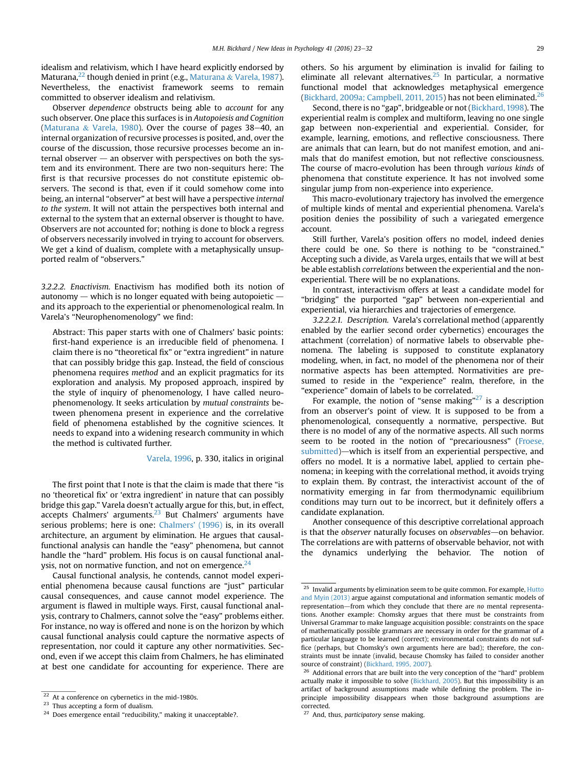idealism and relativism, which I have heard explicitly endorsed by [Maturana](#page-9-0),<sup>22</sup> though denied in print (e.g., Maturana & [Varela, 1987\)](#page-9-0). Nevertheless, the enactivist framework seems to remain committed to observer idealism and relativism.

Observer dependence obstructs being able to account for any such observer. One place this surfaces is in Autopoiesis and Cognition ([Maturana](#page-9-0)  $\&$  [Varela, 1980](#page-9-0)). Over the course of pages 38–40, an internal organization of recursive processes is posited, and, over the course of the discussion, those recursive processes become an internal observer  $-$  an observer with perspectives on both the system and its environment. There are two non-sequiturs here: The first is that recursive processes do not constitute epistemic observers. The second is that, even if it could somehow come into being, an internal "observer" at best will have a perspective internal to the system. It will not attain the perspectives both internal and external to the system that an external observer is thought to have. Observers are not accounted for; nothing is done to block a regress of observers necessarily involved in trying to account for observers. We get a kind of dualism, complete with a metaphysically unsupported realm of "observers."

3.2.2.2. Enactivism. Enactivism has modified both its notion of autonomy  $-$  which is no longer equated with being autopoietic  $$ and its approach to the experiential or phenomenological realm. In Varela's "Neurophenomenology" we find:

Abstract: This paper starts with one of Chalmers' basic points: first-hand experience is an irreducible field of phenomena. I claim there is no "theoretical fix" or "extra ingredient" in nature that can possibly bridge this gap. Instead, the field of conscious phenomena requires method and an explicit pragmatics for its exploration and analysis. My proposed approach, inspired by the style of inquiry of phenomenology, I have called neurophenomenology. It seeks articulation by mutual constraints between phenomena present in experience and the correlative field of phenomena established by the cognitive sciences. It needs to expand into a widening research community in which the method is cultivated further.

[Varela, 1996](#page-9-0), p. 330, italics in original

The first point that I note is that the claim is made that there "is no 'theoretical fix' or 'extra ingredient' in nature that can possibly bridge this gap." Varela doesn't actually argue for this, but, in effect, accepts Chalmers' arguments.<sup>23</sup> But Chalmers' arguments have serious problems; here is one: [Chalmers' \(1996\)](#page-9-0) is, in its overall architecture, an argument by elimination. He argues that causalfunctional analysis can handle the "easy" phenomena, but cannot handle the "hard" problem. His focus is on causal functional analysis, not on normative function, and not on emergence. $24$ 

Causal functional analysis, he contends, cannot model experiential phenomena because causal functions are "just" particular causal consequences, and cause cannot model experience. The argument is flawed in multiple ways. First, causal functional analysis, contrary to Chalmers, cannot solve the "easy" problems either. For instance, no way is offered and none is on the horizon by which causal functional analysis could capture the normative aspects of representation, nor could it capture any other normativities. Second, even if we accept this claim from Chalmers, he has eliminated at best one candidate for accounting for experience. There are

others. So his argument by elimination is invalid for failing to eliminate all relevant alternatives.<sup>25</sup> In particular, a normative functional model that acknowledges metaphysical emergence ([Bickhard, 2009a; Campbell, 2011, 2015](#page-9-0)) has not been eliminated.<sup>26</sup>

Second, there is no "gap", bridgeable or not ([Bickhard, 1998](#page-8-0)). The experiential realm is complex and multiform, leaving no one single gap between non-experiential and experiential. Consider, for example, learning, emotions, and reflective consciousness. There are animals that can learn, but do not manifest emotion, and animals that do manifest emotion, but not reflective consciousness. The course of macro-evolution has been through various kinds of phenomena that constitute experience. It has not involved some singular jump from non-experience into experience.

This macro-evolutionary trajectory has involved the emergence of multiple kinds of mental and experiential phenomena. Varela's position denies the possibility of such a variegated emergence account.

Still further, Varela's position offers no model, indeed denies there could be one. So there is nothing to be "constrained." Accepting such a divide, as Varela urges, entails that we will at best be able establish correlations between the experiential and the nonexperiential. There will be no explanations.

In contrast, interactivism offers at least a candidate model for "bridging" the purported "gap" between non-experiential and experiential, via hierarchies and trajectories of emergence.

3.2.2.2.1. Description. Varela's correlational method (apparently enabled by the earlier second order cybernetics) encourages the attachment (correlation) of normative labels to observable phenomena. The labeling is supposed to constitute explanatory modeling, when, in fact, no model of the phenomena nor of their normative aspects has been attempted. Normativities are presumed to reside in the "experience" realm, therefore, in the "experience" domain of labels to be correlated.

For example, the notion of "sense making" $27$  is a description from an observer's point of view. It is supposed to be from a phenomenological, consequently a normative, perspective. But there is no model of any of the normative aspects. All such norms seem to be rooted in the notion of "precariousness" ([Froese,](#page-9-0) [submitted\)](#page-9-0)—which is itself from an experiential perspective, and offers no model. It is a normative label, applied to certain phenomena; in keeping with the correlational method, it avoids trying to explain them. By contrast, the interactivist account of the of normativity emerging in far from thermodynamic equilibrium conditions may turn out to be incorrect, but it definitely offers a candidate explanation.

Another consequence of this descriptive correlational approach is that the observer naturally focuses on observables-on behavior. The correlations are with patterns of observable behavior, not with the dynamics underlying the behavior. The notion of

 $22$  At a conference on cybernetics in the mid-1980s.

<sup>23</sup> Thus accepting a form of dualism.

<sup>24</sup> Does emergence entail "reducibility," making it unacceptable?.

<sup>&</sup>lt;sup>25</sup> Invalid arguments by elimination seem to be quite common. For example, [Hutto](#page-9-0) [and Myin \(2013\)](#page-9-0) argue against computational and information semantic models of representation—from which they conclude that there are no mental representations. Another example: Chomsky argues that there must be constraints from Universal Grammar to make language acquisition possible: constraints on the space of mathematically possible grammars are necessary in order for the grammar of a particular language to be learned (correct); environmental constraints do not suffice (perhaps, but Chomsky's own arguments here are bad); therefore, the constraints must be innate (invalid, because Chomsky has failed to consider another source of constraint) [\(Bickhard, 1995, 2007\)](#page-8-0).

 $26$  Additional errors that are built into the very conception of the "hard" problem actually make it impossible to solve ([Bickhard, 2005](#page-8-0)). But this impossibility is an artifact of background assumptions made while defining the problem. The inprinciple impossibility disappears when those background assumptions are corrected.

<sup>&</sup>lt;sup>27</sup> And, thus, *participatory* sense making.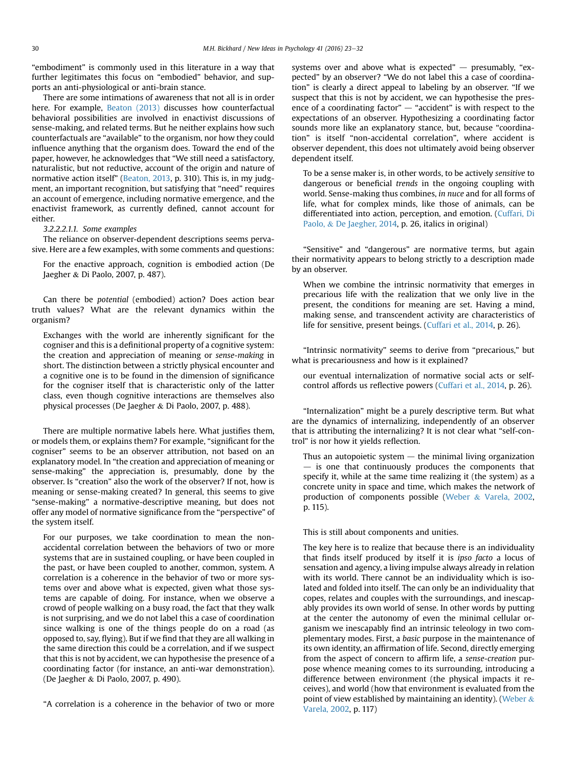"embodiment" is commonly used in this literature in a way that further legitimates this focus on "embodied" behavior, and supports an anti-physiological or anti-brain stance.

There are some intimations of awareness that not all is in order here. For example, [Beaton \(2013\)](#page-8-0) discusses how counterfactual behavioral possibilities are involved in enactivist discussions of sense-making, and related terms. But he neither explains how such counterfactuals are "available" to the organism, nor how they could influence anything that the organism does. Toward the end of the paper, however, he acknowledges that "We still need a satisfactory, naturalistic, but not reductive, account of the origin and nature of normative action itself" ([Beaton, 2013](#page-8-0), p. 310). This is, in my judgment, an important recognition, but satisfying that "need" requires an account of emergence, including normative emergence, and the enactivist framework, as currently defined, cannot account for either.

3.2.2.2.1.1. Some examples

The reliance on observer-dependent descriptions seems pervasive. Here are a few examples, with some comments and questions:

For the enactive approach, cognition is embodied action (De Jaegher & Di Paolo, 2007, p. 487).

Can there be potential (embodied) action? Does action bear truth values? What are the relevant dynamics within the organism?

Exchanges with the world are inherently significant for the cogniser and this is a definitional property of a cognitive system: the creation and appreciation of meaning or sense-making in short. The distinction between a strictly physical encounter and a cognitive one is to be found in the dimension of significance for the cogniser itself that is characteristic only of the latter class, even though cognitive interactions are themselves also physical processes (De Jaegher & Di Paolo, 2007, p. 488).

There are multiple normative labels here. What justifies them, or models them, or explains them? For example, "significant for the cogniser" seems to be an observer attribution, not based on an explanatory model. In "the creation and appreciation of meaning or sense-making" the appreciation is, presumably, done by the observer. Is "creation" also the work of the observer? If not, how is meaning or sense-making created? In general, this seems to give "sense-making" a normative-descriptive meaning, but does not offer any model of normative significance from the "perspective" of the system itself.

For our purposes, we take coordination to mean the nonaccidental correlation between the behaviors of two or more systems that are in sustained coupling, or have been coupled in the past, or have been coupled to another, common, system. A correlation is a coherence in the behavior of two or more systems over and above what is expected, given what those systems are capable of doing. For instance, when we observe a crowd of people walking on a busy road, the fact that they walk is not surprising, and we do not label this a case of coordination since walking is one of the things people do on a road (as opposed to, say, flying). But if we find that they are all walking in the same direction this could be a correlation, and if we suspect that this is not by accident, we can hypothesise the presence of a coordinating factor (for instance, an anti-war demonstration). (De Jaegher & Di Paolo, 2007, p. 490).

"A correlation is a coherence in the behavior of two or more

systems over and above what is expected"  $-$  presumably, "expected" by an observer? "We do not label this a case of coordination" is clearly a direct appeal to labeling by an observer. "If we suspect that this is not by accident, we can hypothesise the presence of a coordinating factor"  $-$  "accident" is with respect to the expectations of an observer. Hypothesizing a coordinating factor sounds more like an explanatory stance, but, because "coordination" is itself "non-accidental correlation", where accident is observer dependent, this does not ultimately avoid being observer dependent itself.

To be a sense maker is, in other words, to be actively sensitive to dangerous or beneficial trends in the ongoing coupling with world. Sense-making thus combines, in nuce and for all forms of life, what for complex minds, like those of animals, can be differentiated into action, perception, and emotion. ([Cuffari, Di](#page-9-0) [Paolo,](#page-9-0) & [De Jaegher, 2014,](#page-9-0) p. 26, italics in original)

"Sensitive" and "dangerous" are normative terms, but again their normativity appears to belong strictly to a description made by an observer.

When we combine the intrinsic normativity that emerges in precarious life with the realization that we only live in the present, the conditions for meaning are set. Having a mind, making sense, and transcendent activity are characteristics of life for sensitive, present beings. ([Cuffari et al., 2014](#page-9-0), p. 26).

"Intrinsic normativity" seems to derive from "precarious," but what is precariousness and how is it explained?

our eventual internalization of normative social acts or selfcontrol affords us reflective powers [\(Cuffari et al., 2014,](#page-9-0) p. 26).

"Internalization" might be a purely descriptive term. But what are the dynamics of internalizing, independently of an observer that is attributing the internalizing? It is not clear what "self-control" is nor how it yields reflection.

Thus an autopoietic system  $-$  the minimal living organization  $-$  is one that continuously produces the components that specify it, while at the same time realizing it (the system) as a concrete unity in space and time, which makes the network of production of components possible [\(Weber](#page-9-0) & [Varela, 2002,](#page-9-0) p. 115).

This is still about components and unities.

The key here is to realize that because there is an individuality that finds itself produced by itself it is ipso facto a locus of sensation and agency, a living impulse always already in relation with its world. There cannot be an individuality which is isolated and folded into itself. The can only be an individuality that copes, relates and couples with the surroundings, and inescapably provides its own world of sense. In other words by putting at the center the autonomy of even the minimal cellular organism we inescapably find an intrinsic teleology in two complementary modes. First, a basic purpose in the maintenance of its own identity, an affirmation of life. Second, directly emerging from the aspect of concern to affirm life, a sense-creation purpose whence meaning comes to its surrounding, introducing a difference between environment (the physical impacts it receives), and world (how that environment is evaluated from the point of view established by maintaining an identity). [\(Weber](#page-9-0)  $\&$ [Varela, 2002](#page-9-0), p. 117)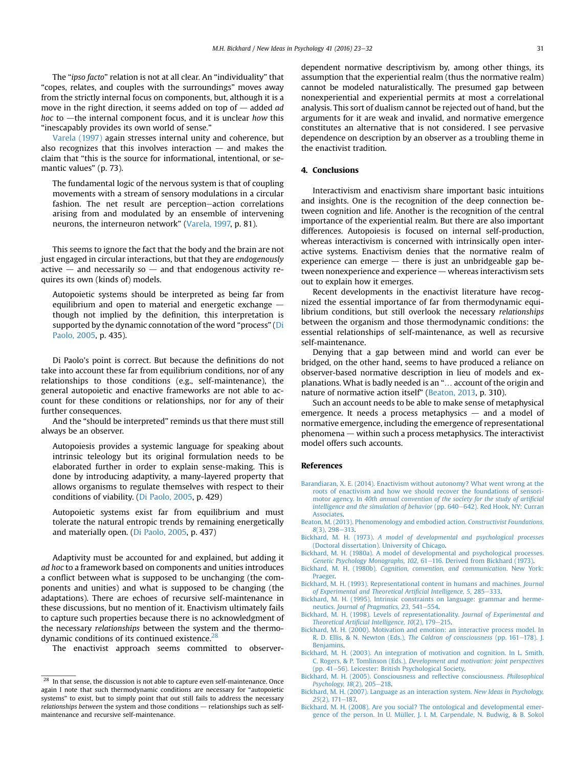<span id="page-8-0"></span>The "ipso facto" relation is not at all clear. An "individuality" that "copes, relates, and couples with the surroundings" moves away from the strictly internal focus on components, but, although it is a move in the right direction, it seems added on top of  $-$  added ad hoc to  $-$ the internal component focus, and it is unclear how this "inescapably provides its own world of sense."

[Varela \(1997\)](#page-9-0) again stresses internal unity and coherence, but also recognizes that this involves interaction  $-$  and makes the claim that "this is the source for informational, intentional, or semantic values" (p. 73).

The fundamental logic of the nervous system is that of coupling movements with a stream of sensory modulations in a circular fashion. The net result are perception-action correlations arising from and modulated by an ensemble of intervening neurons, the interneuron network" ([Varela, 1997,](#page-9-0) p. 81).

This seems to ignore the fact that the body and the brain are not just engaged in circular interactions, but that they are endogenously active  $-$  and necessarily so  $-$  and that endogenous activity requires its own (kinds of) models.

Autopoietic systems should be interpreted as being far from equilibrium and open to material and energetic exchange though not implied by the definition, this interpretation is supported by the dynamic connotation of the word "process" [\(Di](#page-9-0) [Paolo, 2005,](#page-9-0) p. 435).

Di Paolo's point is correct. But because the definitions do not take into account these far from equilibrium conditions, nor of any relationships to those conditions (e.g., self-maintenance), the general autopoietic and enactive frameworks are not able to account for these conditions or relationships, nor for any of their further consequences.

And the "should be interpreted" reminds us that there must still always be an observer.

Autopoiesis provides a systemic language for speaking about intrinsic teleology but its original formulation needs to be elaborated further in order to explain sense-making. This is done by introducing adaptivity, a many-layered property that allows organisms to regulate themselves with respect to their conditions of viability. [\(Di Paolo, 2005,](#page-9-0) p. 429)

Autopoietic systems exist far from equilibrium and must tolerate the natural entropic trends by remaining energetically and materially open. [\(Di Paolo, 2005,](#page-9-0) p. 437)

Adaptivity must be accounted for and explained, but adding it ad hoc to a framework based on components and unities introduces a conflict between what is supposed to be unchanging (the components and unities) and what is supposed to be changing (the adaptations). There are echoes of recursive self-maintenance in these discussions, but no mention of it. Enactivism ultimately fails to capture such properties because there is no acknowledgment of the necessary relationships between the system and the thermodynamic conditions of its continued existence.<sup>28</sup>

The enactivist approach seems committed to observer-

dependent normative descriptivism by, among other things, its assumption that the experiential realm (thus the normative realm) cannot be modeled naturalistically. The presumed gap between nonexperiential and experiential permits at most a correlational analysis. This sort of dualism cannot be rejected out of hand, but the arguments for it are weak and invalid, and normative emergence constitutes an alternative that is not considered. I see pervasive dependence on description by an observer as a troubling theme in the enactivist tradition.

#### 4. Conclusions

Interactivism and enactivism share important basic intuitions and insights. One is the recognition of the deep connection between cognition and life. Another is the recognition of the central importance of the experiential realm. But there are also important differences. Autopoiesis is focused on internal self-production, whereas interactivism is concerned with intrinsically open interactive systems. Enactivism denies that the normative realm of experience can emerge  $-$  there is just an unbridgeable gap between nonexperience and experience  $-$  whereas interactivism sets out to explain how it emerges.

Recent developments in the enactivist literature have recognized the essential importance of far from thermodynamic equilibrium conditions, but still overlook the necessary relationships between the organism and those thermodynamic conditions: the essential relationships of self-maintenance, as well as recursive self-maintenance.

Denying that a gap between mind and world can ever be bridged, on the other hand, seems to have produced a reliance on observer-based normative description in lieu of models and explanations. What is badly needed is an "… account of the origin and nature of normative action itself" (Beaton, 2013, p. 310).

Such an account needs to be able to make sense of metaphysical emergence. It needs a process metaphysics  $-$  and a model of normative emergence, including the emergence of representational  $phenomena — within such a process metaphysics.$  The interactivist model offers such accounts.

#### References

- [Barandiaran, X. E. \(2014\). Enactivism without autonomy? What went wrong at the](http://refhub.elsevier.com/S0732-118X(15)30013-1/sref1) [roots of enactivism and how we should recover the foundations of sensori](http://refhub.elsevier.com/S0732-118X(15)30013-1/sref1)motor agency. In [40th annual convention of the society for the study of arti](http://refhub.elsevier.com/S0732-118X(15)30013-1/sref1)ficial [intelligence and the simulation of behavior](http://refhub.elsevier.com/S0732-118X(15)30013-1/sref1) (pp. 640-[642\). Red Hook, NY: Curran](http://refhub.elsevier.com/S0732-118X(15)30013-1/sref1) **[Associates](http://refhub.elsevier.com/S0732-118X(15)30013-1/sref1)**
- [Beaton, M. \(2013\). Phenomenology and embodied action.](http://refhub.elsevier.com/S0732-118X(15)30013-1/sref2) Constructivist Foundations, 8[\(3\), 298](http://refhub.elsevier.com/S0732-118X(15)30013-1/sref2)-[313.](http://refhub.elsevier.com/S0732-118X(15)30013-1/sref2)
- Bickhard, M. H. (1973). [A model of developmental and psychological processes](http://refhub.elsevier.com/S0732-118X(15)30013-1/sref3) [\(Doctoral dissertation\). University of Chicago](http://refhub.elsevier.com/S0732-118X(15)30013-1/sref3).
- [Bickhard, M. H. \(1980a\). A model of developmental and psychological processes.](http://refhub.elsevier.com/S0732-118X(15)30013-1/sref4) [Genetic Psychology Monographs, 102](http://refhub.elsevier.com/S0732-118X(15)30013-1/sref4), 61-[116. Derived from Bickhard \(1973\).](http://refhub.elsevier.com/S0732-118X(15)30013-1/sref4)
- Bickhard, M. H. (1980b). [Cognition, convention, and communication](http://refhub.elsevier.com/S0732-118X(15)30013-1/sref5). New York: [Praeger.](http://refhub.elsevier.com/S0732-118X(15)30013-1/sref5)
- [Bickhard, M. H. \(1993\). Representational content in humans and machines.](http://refhub.elsevier.com/S0732-118X(15)30013-1/sref6) Journal [of Experimental and Theoretical Arti](http://refhub.elsevier.com/S0732-118X(15)30013-1/sref6)ficial Intelligence, 5, 285-[333.](http://refhub.elsevier.com/S0732-118X(15)30013-1/sref6)
- [Bickhard, M. H. \(1995\). Intrinsic constraints on language: grammar and herme-](http://refhub.elsevier.com/S0732-118X(15)30013-1/sref7)neutics. [Journal of Pragmatics, 23](http://refhub.elsevier.com/S0732-118X(15)30013-1/sref7), 541-[554](http://refhub.elsevier.com/S0732-118X(15)30013-1/sref7).
- [Bickhard, M. H. \(1998\). Levels of representationality.](http://refhub.elsevier.com/S0732-118X(15)30013-1/sref8) Journal of Experimental and Theoretical Artificial Intelligence,  $10(2)$ ,  $179-215$  $179-215$ .
- [Bickhard, M. H. \(2000\). Motivation and emotion: an interactive process model. In](http://refhub.elsevier.com/S0732-118X(15)30013-1/sref9) [R. D. Ellis, & N. Newton \(Eds.\),](http://refhub.elsevier.com/S0732-118X(15)30013-1/sref9) The Caldron of consciousness (pp. 161-[178\). J.](http://refhub.elsevier.com/S0732-118X(15)30013-1/sref9) **[Benjamins](http://refhub.elsevier.com/S0732-118X(15)30013-1/sref9)**
- [Bickhard, M. H. \(2003\). An integration of motivation and cognition. In L. Smith,](http://refhub.elsevier.com/S0732-118X(15)30013-1/sref10) C. Rogers, & P. Tomlinson (Eds.), [Development and motivation: joint perspectives](http://refhub.elsevier.com/S0732-118X(15)30013-1/sref10) [\(pp. 41](http://refhub.elsevier.com/S0732-118X(15)30013-1/sref10)–[56\). Leicester: British Psychological Society](http://refhub.elsevier.com/S0732-118X(15)30013-1/sref10).
- [Bickhard, M. H. \(2005\). Consciousness and re](http://refhub.elsevier.com/S0732-118X(15)30013-1/sref11)flective consciousness. Philosophical [Psychology, 18](http://refhub.elsevier.com/S0732-118X(15)30013-1/sref11)(2), 205-[218](http://refhub.elsevier.com/S0732-118X(15)30013-1/sref11).
- [Bickhard, M. H. \(2007\). Language as an interaction system.](http://refhub.elsevier.com/S0732-118X(15)30013-1/sref12) New Ideas in Psychology,  $25(2)$ , 171-187
- [Bickhard, M. H. \(2008\). Are you social? The ontological and developmental emer](http://refhub.elsevier.com/S0732-118X(15)30013-1/sref13)[gence of the person. In U. Müller, J. I. M. Carpendale, N. Budwig, & B. Sokol](http://refhub.elsevier.com/S0732-118X(15)30013-1/sref13)

 $28$  In that sense, the discussion is not able to capture even self-maintenance. Once again I note that such thermodynamic conditions are necessary for "autopoietic systems" to exist, but to simply point that out still fails to address the necessary  $r$ elationships between the system and those conditions  $-$  relationships such as selfmaintenance and recursive self-maintenance.